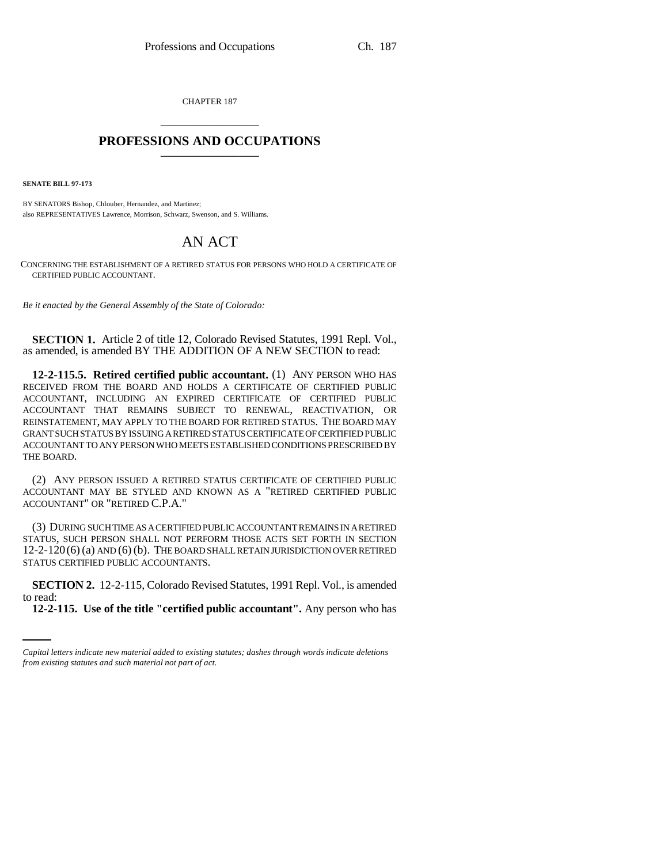CHAPTER 187 \_\_\_\_\_\_\_\_\_\_\_\_\_\_\_

## **PROFESSIONS AND OCCUPATIONS** \_\_\_\_\_\_\_\_\_\_\_\_\_\_\_

**SENATE BILL 97-173**

BY SENATORS Bishop, Chlouber, Hernandez, and Martinez; also REPRESENTATIVES Lawrence, Morrison, Schwarz, Swenson, and S. Williams.

## AN ACT

CONCERNING THE ESTABLISHMENT OF A RETIRED STATUS FOR PERSONS WHO HOLD A CERTIFICATE OF CERTIFIED PUBLIC ACCOUNTANT.

*Be it enacted by the General Assembly of the State of Colorado:*

**SECTION 1.** Article 2 of title 12, Colorado Revised Statutes, 1991 Repl. Vol., as amended, is amended BY THE ADDITION OF A NEW SECTION to read:

**12-2-115.5. Retired certified public accountant.** (1) ANY PERSON WHO HAS RECEIVED FROM THE BOARD AND HOLDS A CERTIFICATE OF CERTIFIED PUBLIC ACCOUNTANT, INCLUDING AN EXPIRED CERTIFICATE OF CERTIFIED PUBLIC ACCOUNTANT THAT REMAINS SUBJECT TO RENEWAL, REACTIVATION, OR REINSTATEMENT, MAY APPLY TO THE BOARD FOR RETIRED STATUS. THE BOARD MAY GRANT SUCH STATUS BY ISSUING A RETIRED STATUS CERTIFICATE OF CERTIFIED PUBLIC ACCOUNTANT TO ANY PERSON WHO MEETS ESTABLISHED CONDITIONS PRESCRIBED BY THE BOARD.

(2) ANY PERSON ISSUED A RETIRED STATUS CERTIFICATE OF CERTIFIED PUBLIC ACCOUNTANT MAY BE STYLED AND KNOWN AS A "RETIRED CERTIFIED PUBLIC ACCOUNTANT" OR "RETIRED C.P.A."

(3) DURING SUCH TIME AS A CERTIFIED PUBLIC ACCOUNTANT REMAINS IN A RETIRED STATUS, SUCH PERSON SHALL NOT PERFORM THOSE ACTS SET FORTH IN SECTION 12-2-120(6) (a) AND (6) (b). THE BOARD SHALL RETAIN JURISDICTION OVER RETIRED STATUS CERTIFIED PUBLIC ACCOUNTANTS.

 **SECTION 2.** 12-2-115, Colorado Revised Statutes, 1991 Repl. Vol., is amended to read:

**12-2-115. Use of the title "certified public accountant".** Any person who has

*Capital letters indicate new material added to existing statutes; dashes through words indicate deletions from existing statutes and such material not part of act.*